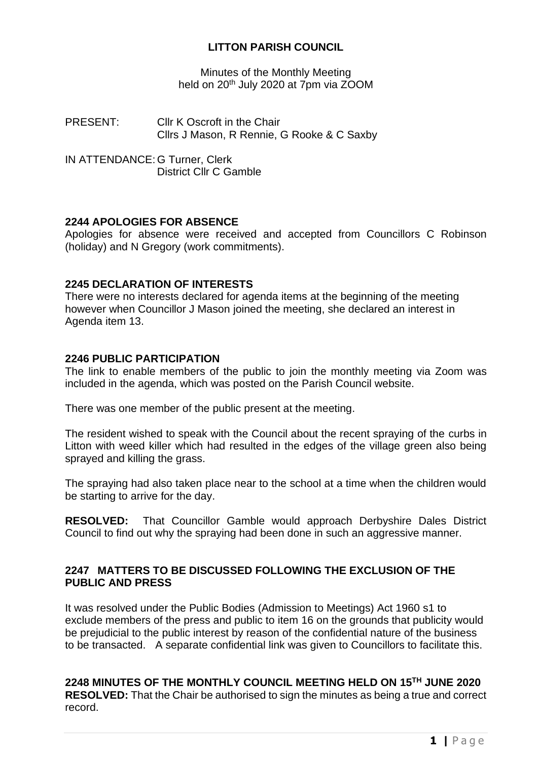## **LITTON PARISH COUNCIL**

Minutes of the Monthly Meeting held on 20<sup>th</sup> July 2020 at 7pm via ZOOM

PRESENT: Cllr K Oscroft in the Chair Cllrs J Mason, R Rennie, G Rooke & C Saxby

IN ATTENDANCE: G Turner, Clerk District Cllr C Gamble

## **2244 APOLOGIES FOR ABSENCE**

Apologies for absence were received and accepted from Councillors C Robinson (holiday) and N Gregory (work commitments).

#### **2245 DECLARATION OF INTERESTS**

There were no interests declared for agenda items at the beginning of the meeting however when Councillor J Mason joined the meeting, she declared an interest in Agenda item 13.

#### **2246 PUBLIC PARTICIPATION**

The link to enable members of the public to join the monthly meeting via Zoom was included in the agenda, which was posted on the Parish Council website.

There was one member of the public present at the meeting.

The resident wished to speak with the Council about the recent spraying of the curbs in Litton with weed killer which had resulted in the edges of the village green also being sprayed and killing the grass.

The spraying had also taken place near to the school at a time when the children would be starting to arrive for the day.

**RESOLVED:** That Councillor Gamble would approach Derbyshire Dales District Council to find out why the spraying had been done in such an aggressive manner.

## **2247 MATTERS TO BE DISCUSSED FOLLOWING THE EXCLUSION OF THE PUBLIC AND PRESS**

It was resolved under the Public Bodies (Admission to Meetings) Act 1960 s1 to exclude members of the press and public to item 16 on the grounds that publicity would be prejudicial to the public interest by reason of the confidential nature of the business to be transacted. A separate confidential link was given to Councillors to facilitate this.

**2248 MINUTES OF THE MONTHLY COUNCIL MEETING HELD ON 15 TH JUNE 2020 RESOLVED:** That the Chair be authorised to sign the minutes as being a true and correct record.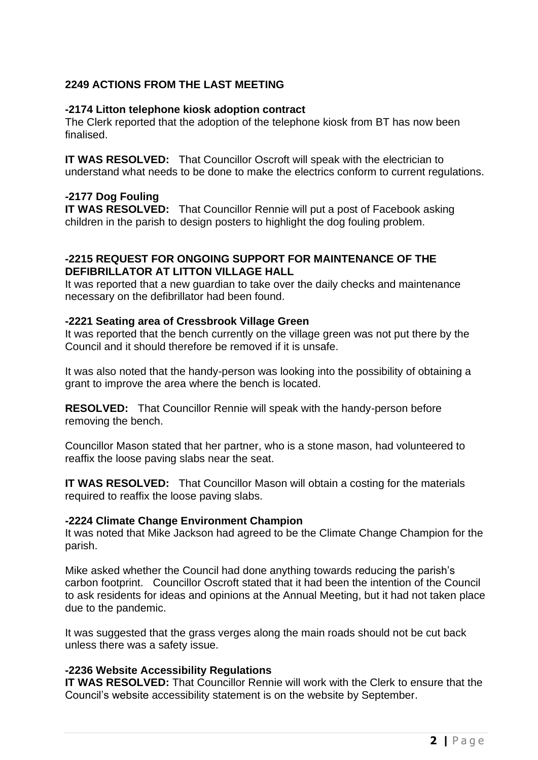# **2249 ACTIONS FROM THE LAST MEETING**

#### **-2174 Litton telephone kiosk adoption contract**

The Clerk reported that the adoption of the telephone kiosk from BT has now been finalised.

**IT WAS RESOLVED:** That Councillor Oscroft will speak with the electrician to understand what needs to be done to make the electrics conform to current regulations.

#### **-2177 Dog Fouling**

**IT WAS RESOLVED:** That Councillor Rennie will put a post of Facebook asking children in the parish to design posters to highlight the dog fouling problem.

#### **-2215 REQUEST FOR ONGOING SUPPORT FOR MAINTENANCE OF THE DEFIBRILLATOR AT LITTON VILLAGE HALL**

It was reported that a new guardian to take over the daily checks and maintenance necessary on the defibrillator had been found.

#### **-2221 Seating area of Cressbrook Village Green**

It was reported that the bench currently on the village green was not put there by the Council and it should therefore be removed if it is unsafe.

It was also noted that the handy-person was looking into the possibility of obtaining a grant to improve the area where the bench is located.

**RESOLVED:** That Councillor Rennie will speak with the handy-person before removing the bench.

Councillor Mason stated that her partner, who is a stone mason, had volunteered to reaffix the loose paving slabs near the seat.

**IT WAS RESOLVED:** That Councillor Mason will obtain a costing for the materials required to reaffix the loose paving slabs.

#### **-2224 Climate Change Environment Champion**

It was noted that Mike Jackson had agreed to be the Climate Change Champion for the parish.

Mike asked whether the Council had done anything towards reducing the parish's carbon footprint. Councillor Oscroft stated that it had been the intention of the Council to ask residents for ideas and opinions at the Annual Meeting, but it had not taken place due to the pandemic.

It was suggested that the grass verges along the main roads should not be cut back unless there was a safety issue.

#### **-2236 Website Accessibility Regulations**

**IT WAS RESOLVED:** That Councillor Rennie will work with the Clerk to ensure that the Council's website accessibility statement is on the website by September.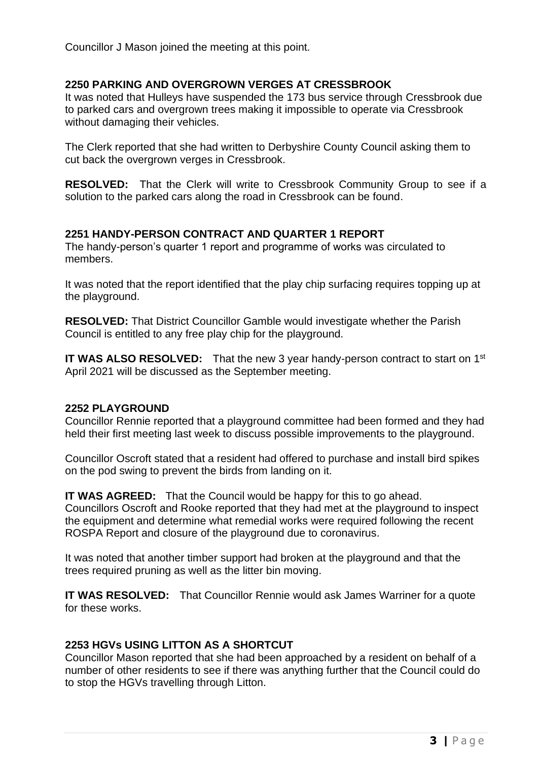Councillor J Mason joined the meeting at this point.

## **2250 PARKING AND OVERGROWN VERGES AT CRESSBROOK**

It was noted that Hulleys have suspended the 173 bus service through Cressbrook due to parked cars and overgrown trees making it impossible to operate via Cressbrook without damaging their vehicles.

The Clerk reported that she had written to Derbyshire County Council asking them to cut back the overgrown verges in Cressbrook.

**RESOLVED:** That the Clerk will write to Cressbrook Community Group to see if a solution to the parked cars along the road in Cressbrook can be found.

## **2251 HANDY-PERSON CONTRACT AND QUARTER 1 REPORT**

The handy-person's quarter 1 report and programme of works was circulated to members.

It was noted that the report identified that the play chip surfacing requires topping up at the playground.

**RESOLVED:** That District Councillor Gamble would investigate whether the Parish Council is entitled to any free play chip for the playground.

**IT WAS ALSO RESOLVED:** That the new 3 year handy-person contract to start on 1<sup>st</sup> April 2021 will be discussed as the September meeting.

#### **2252 PLAYGROUND**

Councillor Rennie reported that a playground committee had been formed and they had held their first meeting last week to discuss possible improvements to the playground.

Councillor Oscroft stated that a resident had offered to purchase and install bird spikes on the pod swing to prevent the birds from landing on it.

**IT WAS AGREED:** That the Council would be happy for this to go ahead. Councillors Oscroft and Rooke reported that they had met at the playground to inspect the equipment and determine what remedial works were required following the recent ROSPA Report and closure of the playground due to coronavirus.

It was noted that another timber support had broken at the playground and that the trees required pruning as well as the litter bin moving.

**IT WAS RESOLVED:** That Councillor Rennie would ask James Warriner for a quote for these works.

#### **2253 HGVs USING LITTON AS A SHORTCUT**

Councillor Mason reported that she had been approached by a resident on behalf of a number of other residents to see if there was anything further that the Council could do to stop the HGVs travelling through Litton.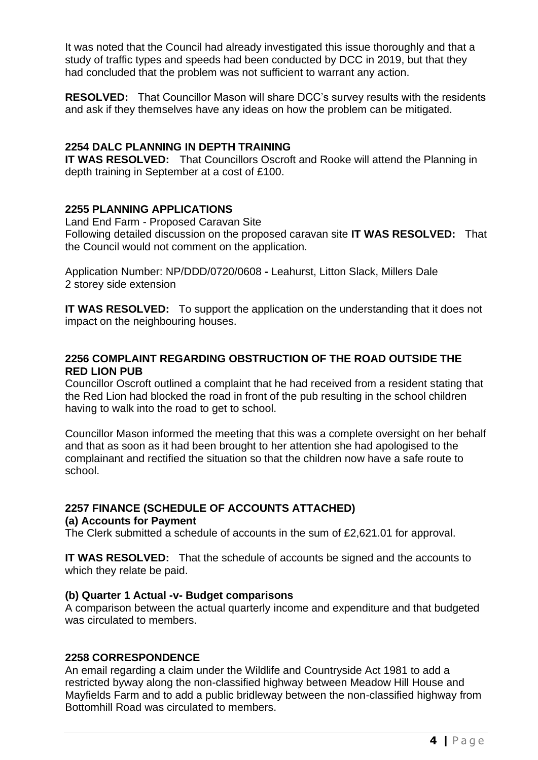It was noted that the Council had already investigated this issue thoroughly and that a study of traffic types and speeds had been conducted by DCC in 2019, but that they had concluded that the problem was not sufficient to warrant any action.

**RESOLVED:** That Councillor Mason will share DCC's survey results with the residents and ask if they themselves have any ideas on how the problem can be mitigated.

## **2254 DALC PLANNING IN DEPTH TRAINING**

**IT WAS RESOLVED:** That Councillors Oscroft and Rooke will attend the Planning in depth training in September at a cost of £100.

## **2255 PLANNING APPLICATIONS**

Land End Farm - Proposed Caravan Site Following detailed discussion on the proposed caravan site **IT WAS RESOLVED:** That the Council would not comment on the application.

Application Number: NP/DDD/0720/0608 **-** Leahurst, Litton Slack, Millers Dale 2 storey side extension

**IT WAS RESOLVED:** To support the application on the understanding that it does not impact on the neighbouring houses.

## **2256 COMPLAINT REGARDING OBSTRUCTION OF THE ROAD OUTSIDE THE RED LION PUB**

Councillor Oscroft outlined a complaint that he had received from a resident stating that the Red Lion had blocked the road in front of the pub resulting in the school children having to walk into the road to get to school.

Councillor Mason informed the meeting that this was a complete oversight on her behalf and that as soon as it had been brought to her attention she had apologised to the complainant and rectified the situation so that the children now have a safe route to school.

#### **2257 FINANCE (SCHEDULE OF ACCOUNTS ATTACHED) (a) Accounts for Payment**

The Clerk submitted a schedule of accounts in the sum of £2,621.01 for approval.

**IT WAS RESOLVED:** That the schedule of accounts be signed and the accounts to which they relate be paid.

## **(b) Quarter 1 Actual -v- Budget comparisons**

A comparison between the actual quarterly income and expenditure and that budgeted was circulated to members.

## **2258 CORRESPONDENCE**

An email regarding a claim under the Wildlife and Countryside Act 1981 to add a restricted byway along the non-classified highway between Meadow Hill House and Mayfields Farm and to add a public bridleway between the non-classified highway from Bottomhill Road was circulated to members.